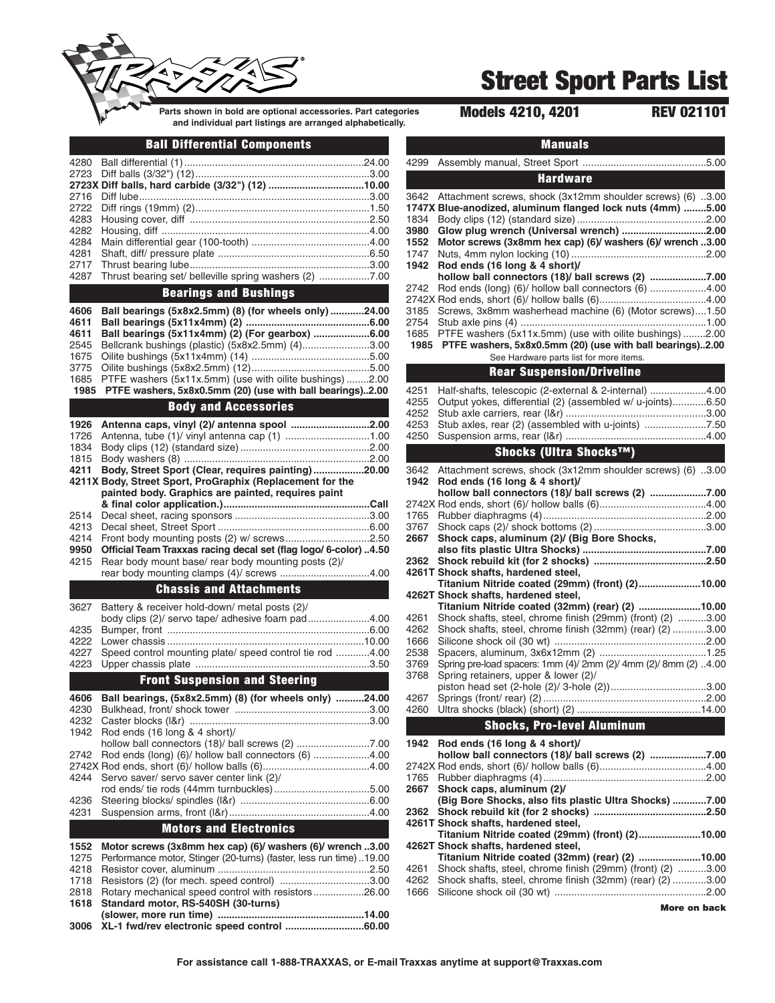

# **Street Sport Parts List**

**Parts shown in bold are optional accessories. Part categories Models 4210, 4201 REV 021101 and individual part listings are arranged alphabetically.**

### **Ball Differential Components**

| 4280         |                                                                                                                      |  |
|--------------|----------------------------------------------------------------------------------------------------------------------|--|
|              |                                                                                                                      |  |
|              | 2723X Diff balls, hard carbide (3/32") (12) 10.00                                                                    |  |
| 2716         |                                                                                                                      |  |
| 2722         |                                                                                                                      |  |
| 4283         |                                                                                                                      |  |
| 4282         |                                                                                                                      |  |
| 4284         |                                                                                                                      |  |
| 4281         |                                                                                                                      |  |
| 2717         |                                                                                                                      |  |
| 4287         | Thrust bearing set/ belleville spring washers (2) 7.00                                                               |  |
|              | <b>Bearings and Bushings</b>                                                                                         |  |
| 4606         | Ball bearings (5x8x2.5mm) (8) (for wheels only) 24.00                                                                |  |
|              |                                                                                                                      |  |
|              |                                                                                                                      |  |
| 4611<br>4611 |                                                                                                                      |  |
| 2545         | Ball bearings (5x11x4mm) (2) (For gearbox) 6.00                                                                      |  |
| 1675         | Bellcrank bushings (plastic) (5x8x2.5mm) (4)3.00                                                                     |  |
| 3775         |                                                                                                                      |  |
| 1685         |                                                                                                                      |  |
| 1985         | PTFE washers (5x11x.5mm) (use with oilite bushings)2.00<br>PTFE washers, 5x8x0.5mm (20) (use with ball bearings)2.00 |  |
|              | <b>Body and Accessories</b>                                                                                          |  |
| 1926         |                                                                                                                      |  |
| 1726         |                                                                                                                      |  |
|              |                                                                                                                      |  |
| 1834<br>1815 |                                                                                                                      |  |

**4211 Body, Street Sport (Clear, requires painting) ..................20.00 4211X Body, Street Sport, ProGraphix (Replacement for the painted body. Graphics are painted, requires paint & final color application.)....................................................Call** 2514 Decal sheet, racing sponsors ................................................3.00 4213 Decal sheet, Street Sport ......................................................6.00 4214 Front body mounting posts (2) w/ screws..............................2.50 **9950 Official Team Traxxas racing decal set (flag logo/ 6-color) ..4.50** Rear body mount base/ rear body mounting posts (2)/ rear body mounting clamps (4)/ screws ................................4.00

### **Chassis and Attachments**

| <b>Front Suspension and Steering</b> |                                                               |  |
|--------------------------------------|---------------------------------------------------------------|--|
|                                      |                                                               |  |
|                                      | 4227 Speed control mounting plate/ speed control tie rod 4.00 |  |
|                                      |                                                               |  |
|                                      |                                                               |  |
|                                      | body clips (2)/ servo tape/ adhesive foam pad4.00             |  |
|                                      | 3627 Battery & receiver hold-down/ metal posts (2)/           |  |

| 4606                          | Ball bearings, (5x8x2.5mm) (8) (for wheels only) 24.00             |       |
|-------------------------------|--------------------------------------------------------------------|-------|
| 4230                          |                                                                    |       |
| 4232                          |                                                                    | .3.00 |
|                               | 1942 Rod ends (16 long & 4 short)/                                 |       |
|                               |                                                                    |       |
|                               | 2742 Rod ends (long) (6)/ hollow ball connectors (6) 4.00          |       |
|                               |                                                                    |       |
|                               | 4244 Servo saver/ servo saver center link (2)/                     |       |
|                               |                                                                    | .5.00 |
| 4236                          |                                                                    |       |
| 4231                          |                                                                    |       |
| <b>Motors and Electronics</b> |                                                                    |       |
| 1552                          | Motor screws (3x8mm hex cap) (6)/ washers (6)/ wrench 3.00         |       |
| 1275                          | Performance motor, Stinger (20-turns) (faster, less run time)19.00 |       |
| 4218                          |                                                                    | .2.50 |

| 1718 Resistors (2) (for mech. speed control) 3.00        |  |
|----------------------------------------------------------|--|
| 2818 Rotary mechanical speed control with resistors26.00 |  |
| 1618 Standard motor, RS-540SH (30-turns)                 |  |
|                                                          |  |
|                                                          |  |
|                                                          |  |

|                      | <b>Manuals</b>                                                                                                           |
|----------------------|--------------------------------------------------------------------------------------------------------------------------|
| 4299                 |                                                                                                                          |
|                      | <b>Hardware</b>                                                                                                          |
| 3642                 | Attachment screws, shock (3x12mm shoulder screws) (6) 3.00<br>1747X Blue-anodized, aluminum flanged lock nuts (4mm) 5.00 |
| 1834<br>3980<br>1552 | Glow plug wrench (Universal wrench) 2.00<br>Motor screws (3x8mm hex cap) (6)/ washers (6)/ wrench 3.00                   |
| 1747<br>1942         | Rod ends (16 long & 4 short)/                                                                                            |
| 2742                 | hollow ball connectors (18)/ ball screws (2) 7.00<br>Rod ends (long) (6)/ hollow ball connectors (6) 4.00                |
| 3185                 | Screws, 3x8mm washerhead machine (6) (Motor screws)1.50                                                                  |
| 2754<br>1685         | PTFE washers (5x11x.5mm) (use with oilite bushings) 2.00                                                                 |
| 1985                 | PTFE washers, 5x8x0.5mm (20) (use with ball bearings)2.00<br>See Hardware parts list for more items.                     |
|                      | <b>Rear Suspension/Driveline</b>                                                                                         |
| 4251<br>4255         | Half-shafts, telescopic (2-external & 2-internal) 4.00<br>Output yokes, differential (2) (assembled w/ u-joints)6.50     |
| 4252<br>4253         | Stub axles, rear (2) (assembled with u-joints) 7.50                                                                      |
| 4250                 |                                                                                                                          |
|                      | Shocks (Ultra Shocks™)                                                                                                   |
| 3642<br>1942         | Attachment screws, shock (3x12mm shoulder screws) (6) 3.00<br>Rod ends (16 long & 4 short)/                              |
|                      | hollow ball connectors (18)/ ball screws (2) 7.00                                                                        |
| 1765                 |                                                                                                                          |
| 3767<br>2667         | Shock caps, aluminum (2)/ (Big Bore Shocks,                                                                              |
|                      |                                                                                                                          |
| 2362                 | 4261T Shock shafts, hardened steel,                                                                                      |
|                      | Titanium Nitride coated (29mm) (front) (2)10.00<br>4262T Shock shafts, hardened steel,                                   |
|                      | Titanium Nitride coated (32mm) (rear) (2) 10.00                                                                          |
| 4261                 | Shock shafts, steel, chrome finish (29mm) (front) (2) 3.00                                                               |
| 4262                 | Shock shafts, steel, chrome finish (32mm) (rear) (2) 3.00                                                                |
| 1666<br>2538         |                                                                                                                          |
| 3769                 | Spring pre-load spacers: 1mm (4)/ 2mm (2)/ 4mm (2)/ 8mm (2) 4.00                                                         |
| 3768                 | Spring retainers, upper & lower (2)/<br>piston head set (2-hole (2)/ 3-hole (2))3.00                                     |
| 4267<br>4260         |                                                                                                                          |
|                      | <b>Shocks, Pro-level Aluminum</b>                                                                                        |
| 1942                 | Rod ends (16 long & 4 short)/                                                                                            |
|                      | hollow ball connectors (18)/ ball screws (2) 7.00                                                                        |
| 1765                 |                                                                                                                          |
| 2667                 | Shock caps, aluminum (2)/<br>(Big Bore Shocks, also fits plastic Ultra Shocks) 7.00                                      |
| 2362                 |                                                                                                                          |
|                      | 4261T Shock shafts, hardened steel,<br>Titanium Nitride coated (29mm) (front) (2)10.00                                   |
|                      | 4262T Shock shafts, hardened steel,<br>Titanium Nitride coated (32mm) (rear) (2) 10.00                                   |
|                      | 4261 Shock shafts, steel, chrome finish (29mm) (front) (2) 3.00                                                          |

4262 Shock shafts, steel, chrome finish (32mm) (rear) (2) ............3.00 1666 Silicone shock oil (30 wt) ......................................................2.00

**More on back**

**For assistance call 1-888-TRAXXAS, or E-mail Traxxas anytime at support@Traxxas.com**